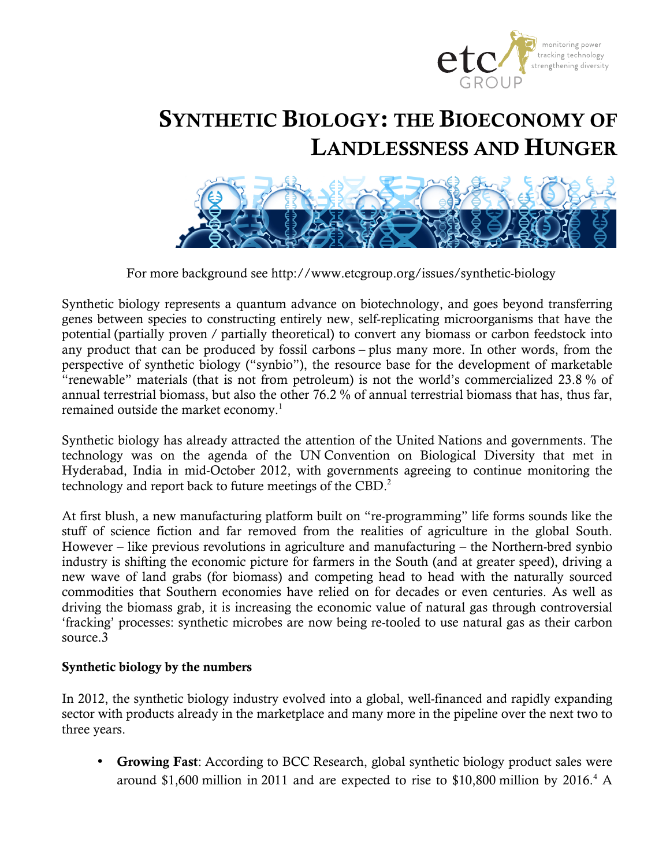

# SYNTHETIC BIOLOGY: THE BIOECONOMY OF LANDLESSNESS AND HUNGER



For more background see http://www.etcgroup.org/issues/synthetic-biology

Synthetic biology represents a quantum advance on biotechnology, and goes beyond transferring genes between species to constructing entirely new, self-replicating microorganisms that have the potential (partially proven / partially theoretical) to convert any biomass or carbon feedstock into any product that can be produced by fossil carbons – plus many more. In other words, from the perspective of synthetic biology ("synbio"), the resource base for the development of marketable "renewable" materials (that is not from petroleum) is not the world's commercialized 23.8 % of annual terrestrial biomass, but also the other 76.2 % of annual terrestrial biomass that has, thus far, remained outside the market economy.<sup>1</sup>

Synthetic biology has already attracted the attention of the United Nations and governments. The technology was on the agenda of the UN Convention on Biological Diversity that met in Hyderabad, India in mid-October 2012, with governments agreeing to continue monitoring the technology and report back to future meetings of the CBD.<sup>2</sup>

At first blush, a new manufacturing platform built on "re-programming" life forms sounds like the stuff of science fiction and far removed from the realities of agriculture in the global South. However – like previous revolutions in agriculture and manufacturing – the Northern-bred synbio industry is shifting the economic picture for farmers in the South (and at greater speed), driving a new wave of land grabs (for biomass) and competing head to head with the naturally sourced commodities that Southern economies have relied on for decades or even centuries. As well as driving the biomass grab, it is increasing the economic value of natural gas through controversial 'fracking' processes: synthetic microbes are now being re-tooled to use natural gas as their carbon source.3

### Synthetic biology by the numbers

In 2012, the synthetic biology industry evolved into a global, well-financed and rapidly expanding sector with products already in the marketplace and many more in the pipeline over the next two to three years.

• Growing Fast: According to BCC Research, global synthetic biology product sales were around \$1,600 million in 2011 and are expected to rise to \$10,800 million by 2016.<sup>4</sup> A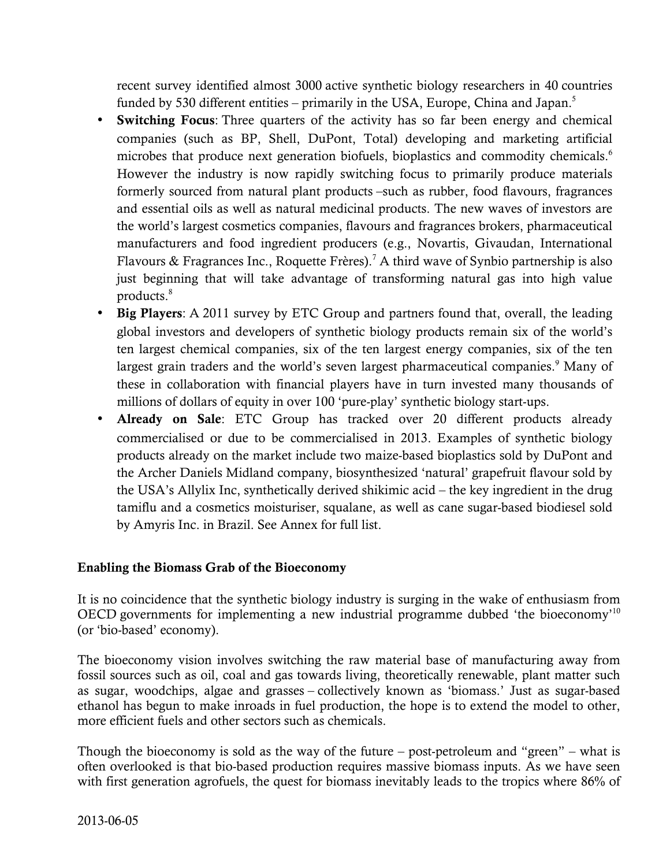recent survey identified almost 3000 active synthetic biology researchers in 40 countries funded by 530 different entities – primarily in the USA, Europe, China and Japan.<sup>5</sup>

- Switching Focus: Three quarters of the activity has so far been energy and chemical companies (such as BP, Shell, DuPont, Total) developing and marketing artificial microbes that produce next generation biofuels, bioplastics and commodity chemicals.<sup>6</sup> However the industry is now rapidly switching focus to primarily produce materials formerly sourced from natural plant products –such as rubber, food flavours, fragrances and essential oils as well as natural medicinal products. The new waves of investors are the world's largest cosmetics companies, flavours and fragrances brokers, pharmaceutical manufacturers and food ingredient producers (e.g., Novartis, Givaudan, International Flavours & Fragrances Inc., Roquette Frères).<sup>7</sup> A third wave of Synbio partnership is also just beginning that will take advantage of transforming natural gas into high value products.8
- Big Players: A 2011 survey by ETC Group and partners found that, overall, the leading global investors and developers of synthetic biology products remain six of the world's ten largest chemical companies, six of the ten largest energy companies, six of the ten largest grain traders and the world's seven largest pharmaceutical companies.<sup>9</sup> Many of these in collaboration with financial players have in turn invested many thousands of millions of dollars of equity in over 100 'pure-play' synthetic biology start-ups.
- Already on Sale: ETC Group has tracked over 20 different products already commercialised or due to be commercialised in 2013. Examples of synthetic biology products already on the market include two maize-based bioplastics sold by DuPont and the Archer Daniels Midland company, biosynthesized 'natural' grapefruit flavour sold by the USA's Allylix Inc, synthetically derived shikimic acid – the key ingredient in the drug tamiflu and a cosmetics moisturiser, squalane, as well as cane sugar-based biodiesel sold by Amyris Inc. in Brazil. See Annex for full list.

### Enabling the Biomass Grab of the Bioeconomy

It is no coincidence that the synthetic biology industry is surging in the wake of enthusiasm from OECD governments for implementing a new industrial programme dubbed 'the bioeconomy'10 (or 'bio-based' economy).

The bioeconomy vision involves switching the raw material base of manufacturing away from fossil sources such as oil, coal and gas towards living, theoretically renewable, plant matter such as sugar, woodchips, algae and grasses – collectively known as 'biomass.' Just as sugar-based ethanol has begun to make inroads in fuel production, the hope is to extend the model to other, more efficient fuels and other sectors such as chemicals.

Though the bioeconomy is sold as the way of the future – post-petroleum and "green" – what is often overlooked is that bio-based production requires massive biomass inputs. As we have seen with first generation agrofuels, the quest for biomass inevitably leads to the tropics where 86% of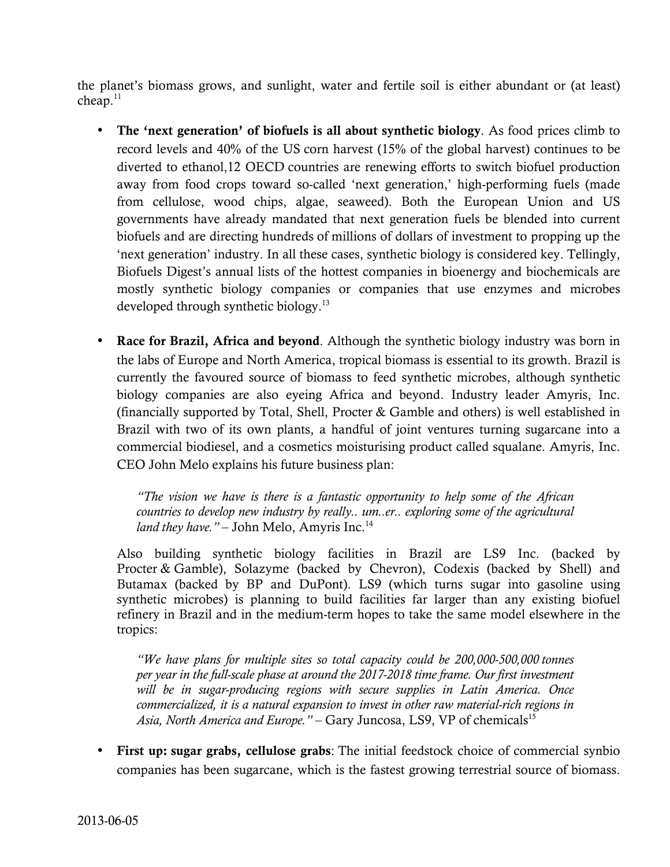the planet's biomass grows, and sunlight, water and fertile soil is either abundant or (at least) cheap. $11$ 

- The 'next generation' of biofuels is all about synthetic biology. As food prices climb to record levels and 40% of the US corn harvest (15% of the global harvest) continues to be diverted to ethanol,12 OECD countries are renewing efforts to switch biofuel production away from food crops toward so-called 'next generation,' high-performing fuels (made from cellulose, wood chips, algae, seaweed). Both the European Union and US governments have already mandated that next generation fuels be blended into current biofuels and are directing hundreds of millions of dollars of investment to propping up the 'next generation' industry. In all these cases, synthetic biology is considered key. Tellingly, Biofuels Digest's annual lists of the hottest companies in bioenergy and biochemicals are mostly synthetic biology companies or companies that use enzymes and microbes developed through synthetic biology. 13
- Race for Brazil, Africa and beyond. Although the synthetic biology industry was born in the labs of Europe and North America, tropical biomass is essential to its growth. Brazil is currently the favoured source of biomass to feed synthetic microbes, although synthetic biology companies are also eyeing Africa and beyond. Industry leader Amyris, Inc. (financially supported by Total, Shell, Procter & Gamble and others) is well established in Brazil with two of its own plants, a handful of joint ventures turning sugarcane into a commercial biodiesel, and a cosmetics moisturising product called squalane. Amyris, Inc. CEO John Melo explains his future business plan:

*"The vision we have is there is a fantastic opportunity to help some of the African countries to develop new industry by really.. um..er.. exploring some of the agricultural*  land they have." – John Melo, Amyris Inc.<sup>14</sup>

Also building synthetic biology facilities in Brazil are LS9 Inc. (backed by Procter & Gamble), Solazyme (backed by Chevron), Codexis (backed by Shell) and Butamax (backed by BP and DuPont). LS9 (which turns sugar into gasoline using synthetic microbes) is planning to build facilities far larger than any existing biofuel refinery in Brazil and in the medium-term hopes to take the same model elsewhere in the tropics:

*"We have plans for multiple sites so total capacity could be 200,000-500,000 tonnes per year in the full-scale phase at around the 2017-2018 time frame. Our first investment will be in sugar-producing regions with secure supplies in Latin America. Once commercialized, it is a natural expansion to invest in other raw material-rich regions in*  Asia, North America and Europe." – Gary Juncosa, LS9, VP of chemicals<sup>15</sup>

• First up: sugar grabs, cellulose grabs: The initial feedstock choice of commercial synbio companies has been sugarcane, which is the fastest growing terrestrial source of biomass.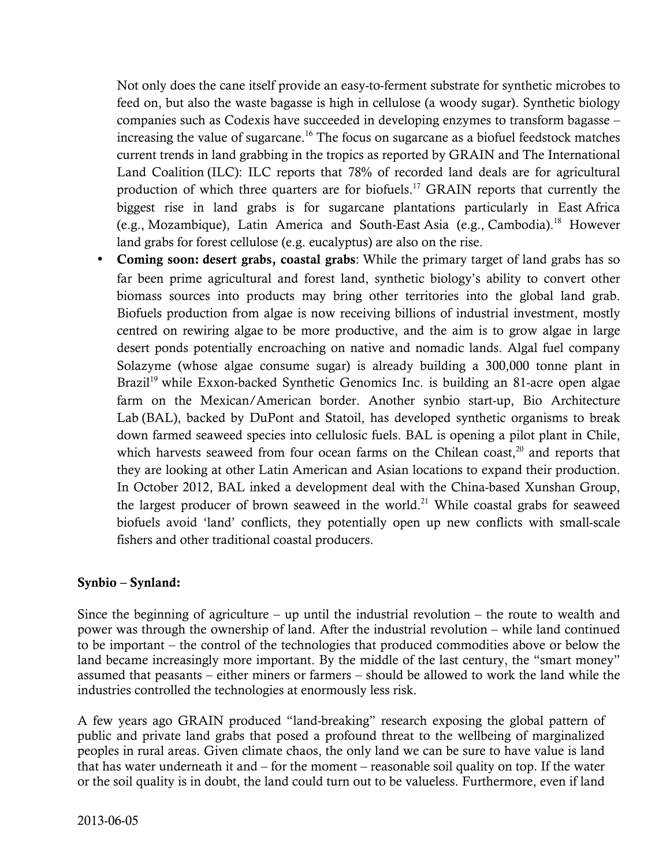Not only does the cane itself provide an easy-to-ferment substrate for synthetic microbes to feed on, but also the waste bagasse is high in cellulose (a woody sugar). Synthetic biology companies such as Codexis have succeeded in developing enzymes to transform bagasse – increasing the value of sugarcane.<sup>16</sup> The focus on sugarcane as a biofuel feedstock matches current trends in land grabbing in the tropics as reported by GRAIN and The International Land Coalition (ILC): ILC reports that 78% of recorded land deals are for agricultural production of which three quarters are for biofuels.<sup>17</sup> GRAIN reports that currently the biggest rise in land grabs is for sugarcane plantations particularly in East Africa (e.g., Mozambique), Latin America and South-East Asia (e.g., Cambodia). 18 However land grabs for forest cellulose (e.g. eucalyptus) are also on the rise.

• Coming soon: desert grabs, coastal grabs: While the primary target of land grabs has so far been prime agricultural and forest land, synthetic biology's ability to convert other biomass sources into products may bring other territories into the global land grab. Biofuels production from algae is now receiving billions of industrial investment, mostly centred on rewiring algae to be more productive, and the aim is to grow algae in large desert ponds potentially encroaching on native and nomadic lands. Algal fuel company Solazyme (whose algae consume sugar) is already building a 300,000 tonne plant in Brazil<sup>19</sup> while Exxon-backed Synthetic Genomics Inc. is building an 81-acre open algae farm on the Mexican/American border. Another synbio start-up, Bio Architecture Lab (BAL), backed by DuPont and Statoil, has developed synthetic organisms to break down farmed seaweed species into cellulosic fuels. BAL is opening a pilot plant in Chile, which harvests seaweed from four ocean farms on the Chilean coast, $^{20}$  and reports that they are looking at other Latin American and Asian locations to expand their production. In October 2012, BAL inked a development deal with the China-based Xunshan Group, the largest producer of brown seaweed in the world. $^{21}$  While coastal grabs for seaweed biofuels avoid 'land' conflicts, they potentially open up new conflicts with small-scale fishers and other traditional coastal producers.

### Synbio – Synland:

Since the beginning of agriculture – up until the industrial revolution – the route to wealth and power was through the ownership of land. After the industrial revolution – while land continued to be important – the control of the technologies that produced commodities above or below the land became increasingly more important. By the middle of the last century, the "smart money" assumed that peasants – either miners or farmers – should be allowed to work the land while the industries controlled the technologies at enormously less risk.

A few years ago GRAIN produced "land-breaking" research exposing the global pattern of public and private land grabs that posed a profound threat to the wellbeing of marginalized peoples in rural areas. Given climate chaos, the only land we can be sure to have value is land that has water underneath it and – for the moment – reasonable soil quality on top. If the water or the soil quality is in doubt, the land could turn out to be valueless. Furthermore, even if land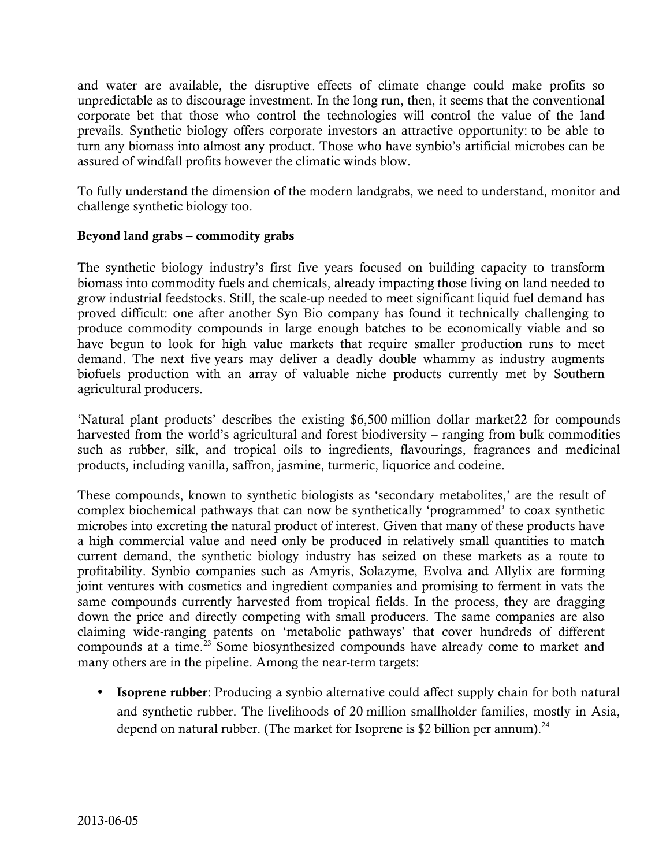and water are available, the disruptive effects of climate change could make profits so unpredictable as to discourage investment. In the long run, then, it seems that the conventional corporate bet that those who control the technologies will control the value of the land prevails. Synthetic biology offers corporate investors an attractive opportunity: to be able to turn any biomass into almost any product. Those who have synbio's artificial microbes can be assured of windfall profits however the climatic winds blow.

To fully understand the dimension of the modern landgrabs, we need to understand, monitor and challenge synthetic biology too.

### Beyond land grabs – commodity grabs

The synthetic biology industry's first five years focused on building capacity to transform biomass into commodity fuels and chemicals, already impacting those living on land needed to grow industrial feedstocks. Still, the scale-up needed to meet significant liquid fuel demand has proved difficult: one after another Syn Bio company has found it technically challenging to produce commodity compounds in large enough batches to be economically viable and so have begun to look for high value markets that require smaller production runs to meet demand. The next five years may deliver a deadly double whammy as industry augments biofuels production with an array of valuable niche products currently met by Southern agricultural producers.

'Natural plant products' describes the existing \$6,500 million dollar market22 for compounds harvested from the world's agricultural and forest biodiversity – ranging from bulk commodities such as rubber, silk, and tropical oils to ingredients, flavourings, fragrances and medicinal products, including vanilla, saffron, jasmine, turmeric, liquorice and codeine.

These compounds, known to synthetic biologists as 'secondary metabolites,' are the result of complex biochemical pathways that can now be synthetically 'programmed' to coax synthetic microbes into excreting the natural product of interest. Given that many of these products have a high commercial value and need only be produced in relatively small quantities to match current demand, the synthetic biology industry has seized on these markets as a route to profitability. Synbio companies such as Amyris, Solazyme, Evolva and Allylix are forming joint ventures with cosmetics and ingredient companies and promising to ferment in vats the same compounds currently harvested from tropical fields. In the process, they are dragging down the price and directly competing with small producers. The same companies are also claiming wide-ranging patents on 'metabolic pathways' that cover hundreds of different compounds at a time. 23 Some biosynthesized compounds have already come to market and many others are in the pipeline. Among the near-term targets:

**Isoprene rubber:** Producing a synbio alternative could affect supply chain for both natural and synthetic rubber. The livelihoods of 20 million smallholder families, mostly in Asia, depend on natural rubber. (The market for Isoprene is \$2 billion per annum).<sup>24</sup>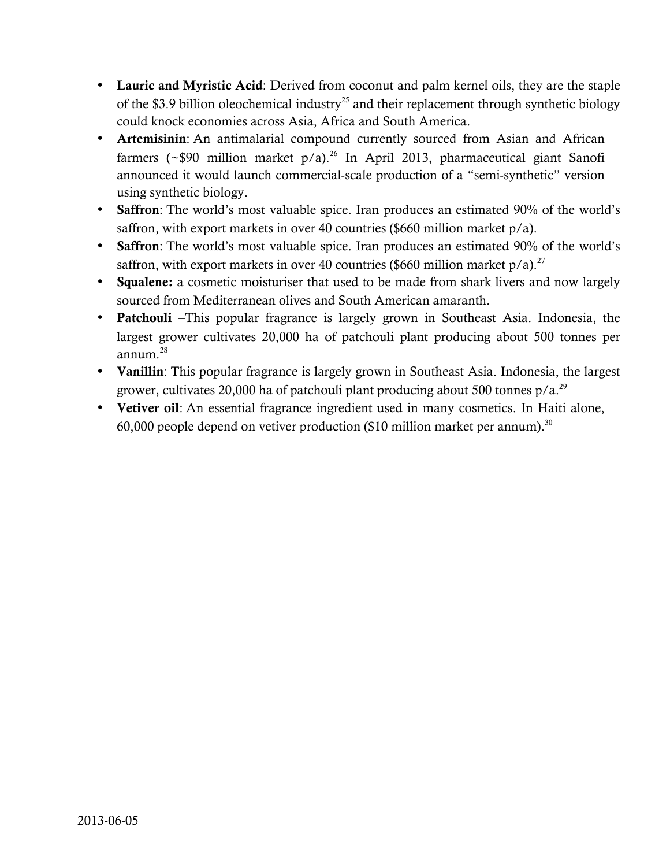- Lauric and Myristic Acid: Derived from coconut and palm kernel oils, they are the staple of the \$3.9 billion oleochemical industry<sup>25</sup> and their replacement through synthetic biology could knock economies across Asia, Africa and South America.
- Artemisinin: An antimalarial compound currently sourced from Asian and African farmers (~\$90 million market  $p/a$ ).<sup>26</sup> In April 2013, pharmaceutical giant Sanofi announced it would launch commercial-scale production of a "semi-synthetic" version using synthetic biology.
- Saffron: The world's most valuable spice. Iran produces an estimated 90% of the world's saffron, with export markets in over 40 countries (\$660 million market  $p/a$ ).
- Saffron: The world's most valuable spice. Iran produces an estimated 90% of the world's saffron, with export markets in over 40 countries (\$660 million market  $p/a$ ).<sup>27</sup>
- Squalene: a cosmetic moisturiser that used to be made from shark livers and now largely sourced from Mediterranean olives and South American amaranth.
- Patchouli –This popular fragrance is largely grown in Southeast Asia. Indonesia, the largest grower cultivates 20,000 ha of patchouli plant producing about 500 tonnes per annum. 28
- Vanillin: This popular fragrance is largely grown in Southeast Asia. Indonesia, the largest grower, cultivates 20,000 ha of patchouli plant producing about 500 tonnes p/a.<sup>29</sup>
- Vetiver oil: An essential fragrance ingredient used in many cosmetics. In Haiti alone, 60,000 people depend on vetiver production (\$10 million market per annum).<sup>30</sup>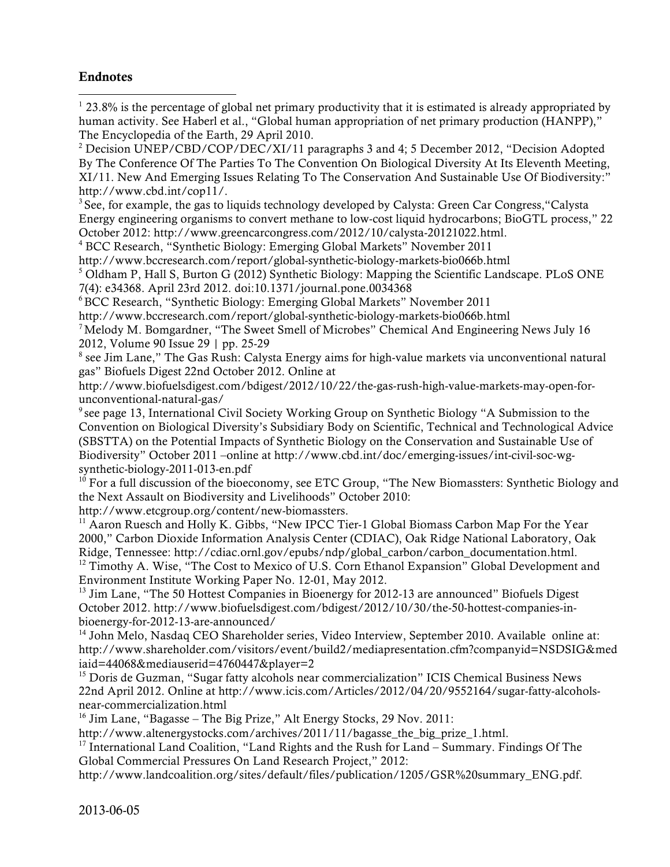#### Endnotes

 $123.8\%$  is the percentage of global net primary productivity that it is estimated is already appropriated by human activity. See Haberl et al., "Global human appropriation of net primary production (HANPP)," The Encyclopedia of the Earth, 29 April 2010.

<sup>2</sup> Decision UNEP/CBD/COP/DEC/XI/11 paragraphs 3 and 4; 5 December 2012, "Decision Adopted By The Conference Of The Parties To The Convention On Biological Diversity At Its Eleventh Meeting, XI/11. New And Emerging Issues Relating To The Conservation And Sustainable Use Of Biodiversity:" http://www.cbd.int/cop11/.

<sup>3</sup> See, for example, the gas to liquids technology developed by Calysta: Green Car Congress, "Calysta" Energy engineering organisms to convert methane to low-cost liquid hydrocarbons; BioGTL process," 22 October 2012: http://www.greencarcongress.com/2012/10/calysta-20121022.html.

<sup>4</sup> BCC Research, "Synthetic Biology: Emerging Global Markets" November 2011

http://www.bccresearch.com/report/global-synthetic-biology-markets-bio066b.html

5 Oldham P, Hall S, Burton G (2012) Synthetic Biology: Mapping the Scientific Landscape. PLoS ONE 7(4): e34368. April 23rd 2012. doi:10.1371/journal.pone.0034368

6BCC Research, "Synthetic Biology: Emerging Global Markets" November 2011

http://www.bccresearch.com/report/global-synthetic-biology-markets-bio066b.html

<sup>7</sup> Melody M. Bomgardner, "The Sweet Smell of Microbes" Chemical And Engineering News July 16 2012, Volume 90 Issue 29 | pp. 25-29

<sup>8</sup> see Jim Lane," The Gas Rush: Calysta Energy aims for high-value markets via unconventional natural gas" Biofuels Digest 22nd October 2012. Online at

http://www.biofuelsdigest.com/bdigest/2012/10/22/the-gas-rush-high-value-markets-may-open-forunconventional-natural-gas/

<sup>9</sup> see page 13, International Civil Society Working Group on Synthetic Biology "A Submission to the Convention on Biological Diversity's Subsidiary Body on Scientific, Technical and Technological Advice (SBSTTA) on the Potential Impacts of Synthetic Biology on the Conservation and Sustainable Use of Biodiversity" October 2011 –online at http://www.cbd.int/doc/emerging-issues/int-civil-soc-wgsynthetic-biology-2011-013-en.pdf

<sup>10</sup> For a full discussion of the bioeconomy, see ETC Group, "The New Biomassters: Synthetic Biology and the Next Assault on Biodiversity and Livelihoods" October 2010:

http://www.etcgroup.org/content/new-biomassters.

<sup>11</sup> Aaron Ruesch and Holly K. Gibbs, "New IPCC Tier-1 Global Biomass Carbon Map For the Year 2000," Carbon Dioxide Information Analysis Center (CDIAC), Oak Ridge National Laboratory, Oak Ridge, Tennessee: http://cdiac.ornl.gov/epubs/ndp/global\_carbon/carbon\_documentation.html. <sup>12</sup> Timothy A. Wise, "The Cost to Mexico of U.S. Corn Ethanol Expansion" Global Development and Environment Institute Working Paper No. 12-01, May 2012.

 $13$  Jim Lane, "The 50 Hottest Companies in Bioenergy for 2012-13 are announced" Biofuels Digest October 2012. http://www.biofuelsdigest.com/bdigest/2012/10/30/the-50-hottest-companies-inbioenergy-for-2012-13-are-announced/

<sup>14</sup> John Melo, Nasdaq CEO Shareholder series, Video Interview, September 2010. Available online at: http://www.shareholder.com/visitors/event/build2/mediapresentation.cfm?companyid=NSDSIG&med iaid=44068&mediauserid=4760447&player=2

<sup>15</sup> Doris de Guzman, "Sugar fatty alcohols near commercialization" ICIS Chemical Business News 22nd April 2012. Online at http://www.icis.com/Articles/2012/04/20/9552164/sugar-fatty-alcoholsnear-commercialization.html

<sup>16</sup> Jim Lane, "Bagasse – The Big Prize," Alt Energy Stocks, 29 Nov. 2011:

http://www.altenergystocks.com/archives/2011/11/bagasse\_the\_big\_prize\_1.html.

<sup>17</sup> International Land Coalition, "Land Rights and the Rush for Land – Summary. Findings Of The Global Commercial Pressures On Land Research Project," 2012:

http://www.landcoalition.org/sites/default/files/publication/1205/GSR%20summary\_ENG.pdf.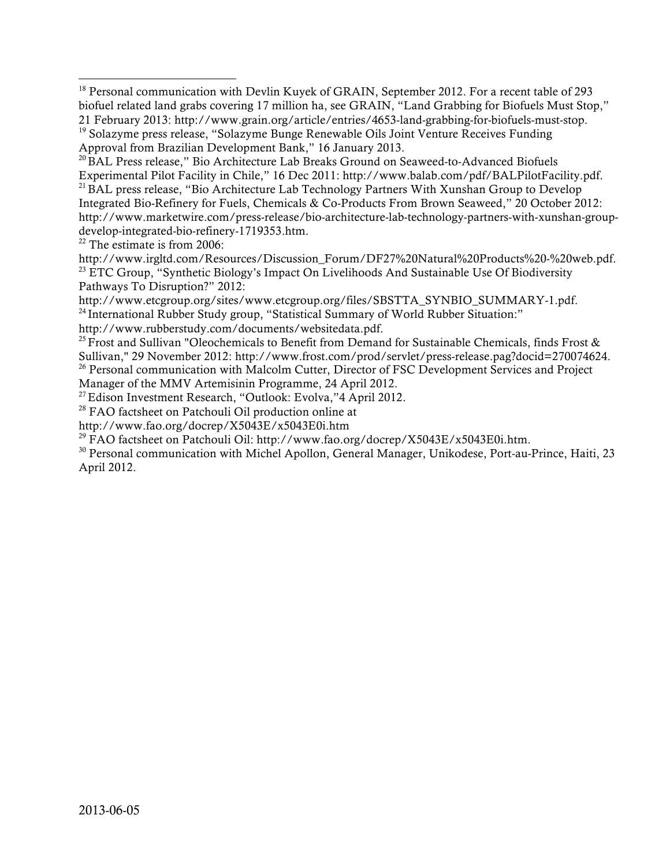$22$  The estimate is from 2006:

http://www.irgltd.com/Resources/Discussion\_Forum/DF27%20Natural%20Products%20-%20web.pdf.  $^{23}$  ETC Group, "Synthetic Biology's Impact On Livelihoods And Sustainable Use Of Biodiversity Pathways To Disruption?" 2012:

http://www.etcgroup.org/sites/www.etcgroup.org/files/SBSTTA\_SYNBIO\_SUMMARY-1.pdf.

<sup>24</sup> International Rubber Study group, "Statistical Summary of World Rubber Situation:"

http://www.rubberstudy.com/documents/websitedata.pdf.

<sup>25</sup> Frost and Sullivan "Oleochemicals to Benefit from Demand for Sustainable Chemicals, finds Frost  $\&$ Sullivan," 29 November 2012: http://www.frost.com/prod/servlet/press-release.pag?docid=270074624. <sup>26</sup> Personal communication with Malcolm Cutter, Director of FSC Development Services and Project Manager of the MMV Artemisinin Programme, 24 April 2012.

<sup>27</sup> Edison Investment Research, "Outlook: Evolva,"4 April 2012.

<sup>28</sup> FAO factsheet on Patchouli Oil production online at

http://www.fao.org/docrep/X5043E/x5043E0i.htm

<sup>29</sup> FAO factsheet on Patchouli Oil: http://www.fao.org/docrep/X5043E/x5043E0i.htm.

30 Personal communication with Michel Apollon, General Manager, Unikodese, Port-au-Prince, Haiti, 23 April 2012.

<sup>&</sup>lt;sup>18</sup> Personal communication with Devlin Kuyek of GRAIN, September 2012. For a recent table of 293 biofuel related land grabs covering 17 million ha, see GRAIN, "Land Grabbing for Biofuels Must Stop," 21 February 2013: http://www.grain.org/article/entries/4653-land-grabbing-for-biofuels-must-stop. <sup>19</sup> Solazyme press release, "Solazyme Bunge Renewable Oils Joint Venture Receives Funding

Approval from Brazilian Development Bank," 16 January 2013.

<sup>&</sup>lt;sup>20</sup> BAL Press release," Bio Architecture Lab Breaks Ground on Seaweed-to-Advanced Biofuels Experimental Pilot Facility in Chile," 16 Dec 2011: http://www.balab.com/pdf/BALPilotFacility.pdf. <sup>21</sup> BAL press release, "Bio Architecture Lab Technology Partners With Xunshan Group to Develop Integrated Bio-Refinery for Fuels, Chemicals & Co-Products From Brown Seaweed," 20 October 2012: http://www.marketwire.com/press-release/bio-architecture-lab-technology-partners-with-xunshan-groupdevelop-integrated-bio-refinery-1719353.htm.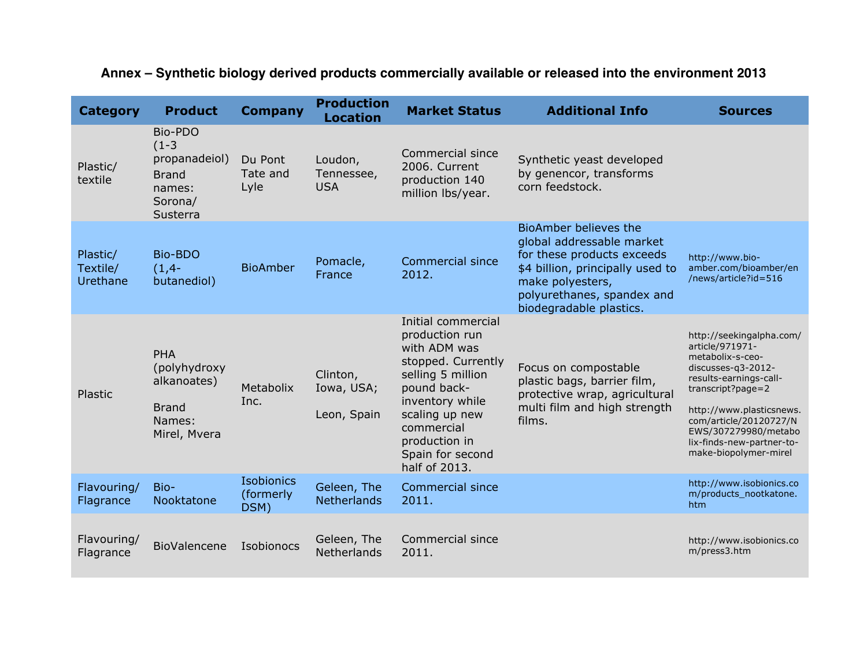| <b>Category</b>                  | <b>Product</b>                                                                       | <b>Company</b>                  | <b>Production</b><br><b>Location</b>  | <b>Market Status</b>                                                                                                                                                                                                    | <b>Additional Info</b>                                                                                                                                                                            | <b>Sources</b>                                                                                                                                                                                                                                                           |
|----------------------------------|--------------------------------------------------------------------------------------|---------------------------------|---------------------------------------|-------------------------------------------------------------------------------------------------------------------------------------------------------------------------------------------------------------------------|---------------------------------------------------------------------------------------------------------------------------------------------------------------------------------------------------|--------------------------------------------------------------------------------------------------------------------------------------------------------------------------------------------------------------------------------------------------------------------------|
| Plastic/<br>textile              | Bio-PDO<br>$(1-3)$<br>propanadeiol)<br><b>Brand</b><br>names:<br>Sorona/<br>Susterra | Du Pont<br>Tate and<br>Lyle     | Loudon,<br>Tennessee,<br><b>USA</b>   | Commercial since<br>2006. Current<br>production 140<br>million lbs/year.                                                                                                                                                | Synthetic yeast developed<br>by genencor, transforms<br>corn feedstock.                                                                                                                           |                                                                                                                                                                                                                                                                          |
| Plastic/<br>Textile/<br>Urethane | Bio-BDO<br>$(1, 4-$<br>butanediol)                                                   | <b>BioAmber</b>                 | Pomacle,<br>France                    | Commercial since<br>2012.                                                                                                                                                                                               | BioAmber believes the<br>global addressable market<br>for these products exceeds<br>\$4 billion, principally used to<br>make polyesters,<br>polyurethanes, spandex and<br>biodegradable plastics. | http://www.bio-<br>amber.com/bioamber/en<br>/news/article?id=516                                                                                                                                                                                                         |
| Plastic                          | PHA<br>(polyhydroxy<br>alkanoates)<br><b>Brand</b><br>Names:<br>Mirel, Mvera         | Metabolix<br>Inc.               | Clinton,<br>Iowa, USA;<br>Leon, Spain | Initial commercial<br>production run<br>with ADM was<br>stopped. Currently<br>selling 5 million<br>pound back-<br>inventory while<br>scaling up new<br>commercial<br>production in<br>Spain for second<br>half of 2013. | Focus on compostable<br>plastic bags, barrier film,<br>protective wrap, agricultural<br>multi film and high strength<br>films.                                                                    | http://seekingalpha.com/<br>article/971971-<br>metabolix-s-ceo-<br>discusses-q3-2012-<br>results-earnings-call-<br>transcript?page=2<br>http://www.plasticsnews.<br>com/article/20120727/N<br>EWS/307279980/metabo<br>lix-finds-new-partner-to-<br>make-biopolymer-mirel |
| Flavouring/<br>Flagrance         | Bio-<br>Nooktatone                                                                   | Isobionics<br>(formerly<br>DSM) | Geleen, The<br><b>Netherlands</b>     | <b>Commercial since</b><br>2011.                                                                                                                                                                                        |                                                                                                                                                                                                   | http://www.isobionics.co<br>m/products_nootkatone.<br>htm                                                                                                                                                                                                                |
| Flavouring/<br>Flagrance         | BioValencene                                                                         | Isobionocs                      | Geleen, The<br>Netherlands            | Commercial since<br>2011.                                                                                                                                                                                               |                                                                                                                                                                                                   | http://www.isobionics.co<br>m/press3.htm                                                                                                                                                                                                                                 |

## **Annex – Synthetic biology derived products commercially available or released into the environment 2013**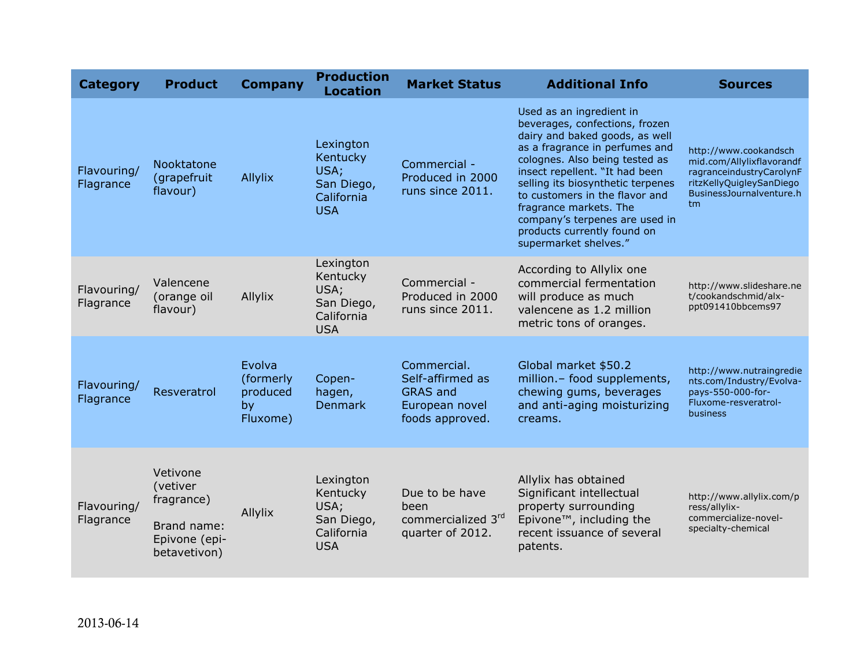| <b>Category</b>          | <b>Product</b>                                                                     | <b>Company</b>                                    | <b>Production</b><br><b>Location</b>                                    | <b>Market Status</b>                                                                    | <b>Additional Info</b>                                                                                                                                                                                                                                                                                                                                                                        | <b>Sources</b>                                                                                                                               |
|--------------------------|------------------------------------------------------------------------------------|---------------------------------------------------|-------------------------------------------------------------------------|-----------------------------------------------------------------------------------------|-----------------------------------------------------------------------------------------------------------------------------------------------------------------------------------------------------------------------------------------------------------------------------------------------------------------------------------------------------------------------------------------------|----------------------------------------------------------------------------------------------------------------------------------------------|
| Flavouring/<br>Flagrance | Nooktatone<br>(grapefruit<br>flavour)                                              | Allylix                                           | Lexington<br>Kentucky<br>USA;<br>San Diego,<br>California<br><b>USA</b> | Commercial -<br>Produced in 2000<br>runs since 2011.                                    | Used as an ingredient in<br>beverages, confections, frozen<br>dairy and baked goods, as well<br>as a fragrance in perfumes and<br>colognes. Also being tested as<br>insect repellent. "It had been<br>selling its biosynthetic terpenes<br>to customers in the flavor and<br>fragrance markets. The<br>company's terpenes are used in<br>products currently found on<br>supermarket shelves." | http://www.cookandsch<br>mid.com/Allylixflavorandf<br>ragranceindustryCarolynF<br>ritzKellyQuigleySanDiego<br>BusinessJournalventure.h<br>tm |
| Flavouring/<br>Flagrance | Valencene<br>(orange oil<br>flavour)                                               | Allylix                                           | Lexington<br>Kentucky<br>USA;<br>San Diego,<br>California<br><b>USA</b> | Commercial -<br>Produced in 2000<br>runs since 2011.                                    | According to Allylix one<br>commercial fermentation<br>will produce as much<br>valencene as 1.2 million<br>metric tons of oranges.                                                                                                                                                                                                                                                            | http://www.slideshare.ne<br>t/cookandschmid/alx-<br>ppt091410bbcems97                                                                        |
| Flavouring/<br>Flagrance | Resveratrol                                                                        | Evolva<br>(formerly<br>produced<br>by<br>Fluxome) | Copen-<br>hagen,<br><b>Denmark</b>                                      | Commercial.<br>Self-affirmed as<br><b>GRAS and</b><br>European novel<br>foods approved. | Global market \$50.2<br>million.- food supplements,<br>chewing gums, beverages<br>and anti-aging moisturizing<br>creams.                                                                                                                                                                                                                                                                      | http://www.nutraingredie<br>nts.com/Industry/Evolva-<br>pays-550-000-for-<br>Fluxome-resveratrol-<br>business                                |
| Flavouring/<br>Flagrance | Vetivone<br>(vetiver<br>fragrance)<br>Brand name:<br>Epivone (epi-<br>betavetivon) | Allylix                                           | Lexington<br>Kentucky<br>USA;<br>San Diego,<br>California<br><b>USA</b> | Due to be have<br>been<br>commercialized 3rd<br>quarter of 2012.                        | Allylix has obtained<br>Significant intellectual<br>property surrounding<br>Epivone <sup>™</sup> , including the<br>recent issuance of several<br>patents.                                                                                                                                                                                                                                    | http://www.allylix.com/p<br>ress/allylix-<br>commercialize-novel-<br>specialty-chemical                                                      |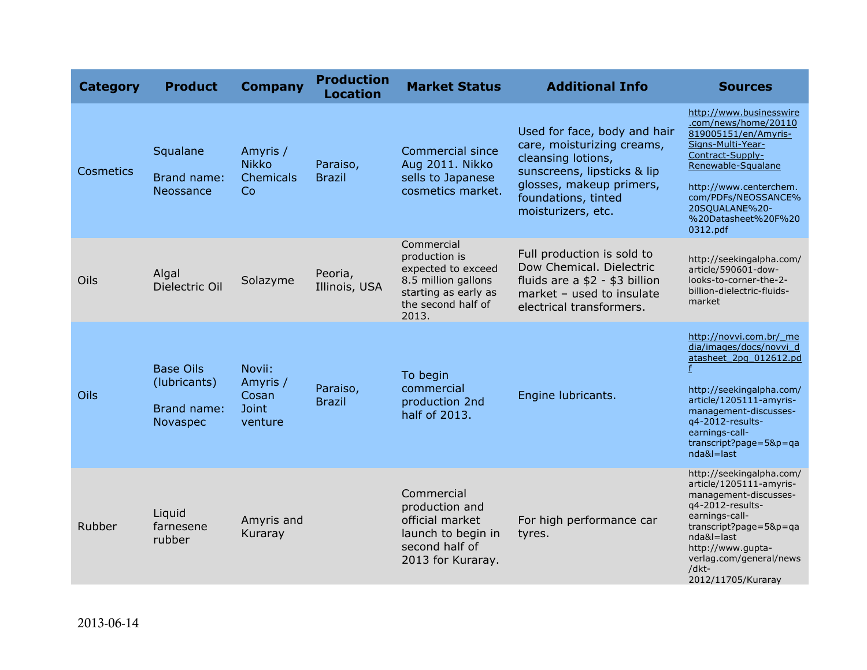| <b>Category</b>  | <b>Product</b>                                              | <b>Company</b>                                         | <b>Production</b><br><b>Location</b> | <b>Market Status</b>                                                                                                            | <b>Additional Info</b>                                                                                                                                                                   | <b>Sources</b>                                                                                                                                                                                                                               |
|------------------|-------------------------------------------------------------|--------------------------------------------------------|--------------------------------------|---------------------------------------------------------------------------------------------------------------------------------|------------------------------------------------------------------------------------------------------------------------------------------------------------------------------------------|----------------------------------------------------------------------------------------------------------------------------------------------------------------------------------------------------------------------------------------------|
| <b>Cosmetics</b> | Squalane<br><b>Brand name:</b><br>Neossance                 | Amyris /<br><b>Nikko</b><br>Chemicals<br>Co            | Paraiso,<br><b>Brazil</b>            | <b>Commercial since</b><br>Aug 2011. Nikko<br>sells to Japanese<br>cosmetics market.                                            | Used for face, body and hair<br>care, moisturizing creams,<br>cleansing lotions,<br>sunscreens, lipsticks & lip<br>glosses, makeup primers,<br>foundations, tinted<br>moisturizers, etc. | http://www.businesswire<br>.com/news/home/20110<br>819005151/en/Amyris-<br>Signs-Multi-Year-<br>Contract-Supply-<br>Renewable-Squalane<br>http://www.centerchem.<br>com/PDFs/NEOSSANCE%<br>20SQUALANE%20-<br>%20Datasheet%20F%20<br>0312.pdf |
| Oils             | Algal<br>Dielectric Oil                                     | Solazyme                                               | Peoria,<br>Illinois, USA             | Commercial<br>production is<br>expected to exceed<br>8.5 million gallons<br>starting as early as<br>the second half of<br>2013. | Full production is sold to<br>Dow Chemical. Dielectric<br>fluids are a \$2 - \$3 billion<br>market - used to insulate<br>electrical transformers.                                        | http://seekingalpha.com/<br>article/590601-dow-<br>looks-to-corner-the-2-<br>billion-dielectric-fluids-<br>market                                                                                                                            |
| Oils             | <b>Base Oils</b><br>(lubricants)<br>Brand name:<br>Novaspec | Novii:<br>Amyris /<br>Cosan<br><b>Joint</b><br>venture | Paraiso,<br><b>Brazil</b>            | To begin<br>commercial<br>production 2nd<br>half of 2013.                                                                       | Engine lubricants.                                                                                                                                                                       | http://novvi.com.br/ me<br>dia/images/docs/novvi d<br>atasheet 2pg 012612.pd<br>http://seekingalpha.com/<br>article/1205111-amyris-<br>management-discusses-<br>q4-2012-results-<br>earnings-call-<br>transcript?page=5&p=qa<br>nda&l=last   |
| Rubber           | Liquid<br>farnesene<br>rubber                               | Amyris and<br>Kuraray                                  |                                      | Commercial<br>production and<br>official market<br>launch to begin in<br>second half of<br>2013 for Kuraray.                    | For high performance car<br>tyres.                                                                                                                                                       | http://seekingalpha.com/<br>article/1205111-amyris-<br>management-discusses-<br>q4-2012-results-<br>earnings-call-<br>transcript?page=5&p=qa<br>nda&l=last<br>http://www.gupta-<br>verlag.com/general/news<br>/dkt-<br>2012/11705/Kuraray    |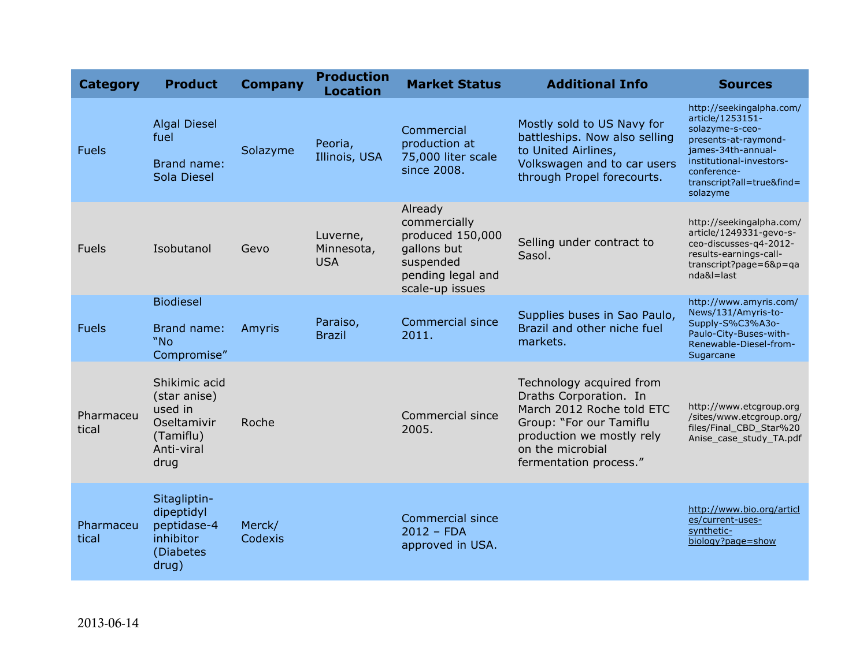| <b>Category</b>    | <b>Product</b>                                                                             | <b>Company</b>    | <b>Production</b><br><b>Location</b> | <b>Market Status</b>                                                                                            | <b>Additional Info</b>                                                                                                                                                                | <b>Sources</b>                                                                                                                                                                                    |
|--------------------|--------------------------------------------------------------------------------------------|-------------------|--------------------------------------|-----------------------------------------------------------------------------------------------------------------|---------------------------------------------------------------------------------------------------------------------------------------------------------------------------------------|---------------------------------------------------------------------------------------------------------------------------------------------------------------------------------------------------|
| <b>Fuels</b>       | <b>Algal Diesel</b><br>fuel<br>Brand name:<br>Sola Diesel                                  | Solazyme          | Peoria,<br>Illinois, USA             | Commercial<br>production at<br>75,000 liter scale<br>since 2008.                                                | Mostly sold to US Navy for<br>battleships. Now also selling<br>to United Airlines,<br>Volkswagen and to car users<br>through Propel forecourts.                                       | http://seekingalpha.com/<br>article/1253151-<br>solazyme-s-ceo-<br>presents-at-raymond-<br>james-34th-annual-<br>institutional-investors-<br>conference-<br>transcript?all=true&find=<br>solazyme |
| <b>Fuels</b>       | Isobutanol                                                                                 | Gevo              | Luverne,<br>Minnesota,<br><b>USA</b> | Already<br>commercially<br>produced 150,000<br>gallons but<br>suspended<br>pending legal and<br>scale-up issues | Selling under contract to<br>Sasol.                                                                                                                                                   | http://seekingalpha.com/<br>article/1249331-gevo-s-<br>ceo-discusses-q4-2012-<br>results-earnings-call-<br>transcript?page=6&p=ga<br>nda&l=last                                                   |
| <b>Fuels</b>       | <b>Biodiesel</b><br>Brand name:<br>"No<br>Compromise"                                      | Amyris            | Paraiso,<br><b>Brazil</b>            | <b>Commercial since</b><br>2011.                                                                                | Supplies buses in Sao Paulo,<br>Brazil and other niche fuel<br>markets.                                                                                                               | http://www.amyris.com/<br>News/131/Amyris-to-<br>Supply-S%C3%A3o-<br>Paulo-City-Buses-with-<br>Renewable-Diesel-from-<br>Sugarcane                                                                |
| Pharmaceu<br>tical | Shikimic acid<br>(star anise)<br>used in<br>Oseltamivir<br>(Tamiflu)<br>Anti-viral<br>drug | Roche             |                                      | Commercial since<br>2005.                                                                                       | Technology acquired from<br>Draths Corporation. In<br>March 2012 Roche told ETC<br>Group: "For our Tamiflu<br>production we mostly rely<br>on the microbial<br>fermentation process." | http://www.etcgroup.org<br>/sites/www.etcgroup.org/<br>files/Final CBD Star%20<br>Anise_case_study_TA.pdf                                                                                         |
| Pharmaceu<br>tical | Sitagliptin-<br>dipeptidyl<br>peptidase-4<br>inhibitor<br>(Diabetes<br>drug)               | Merck/<br>Codexis |                                      | <b>Commercial since</b><br>$2012 - FDA$<br>approved in USA.                                                     |                                                                                                                                                                                       | http://www.bio.org/articl<br>es/current-uses-<br>synthetic-<br>biology?page=show                                                                                                                  |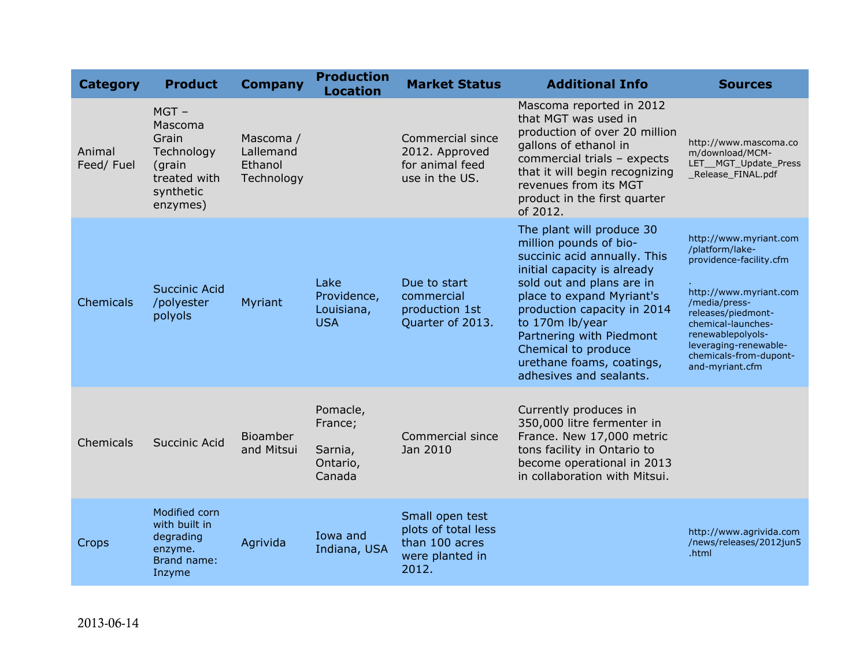| <b>Category</b>     | <b>Product</b>                                                                               | <b>Company</b>                                  | <b>Production</b><br><b>Location</b>                 | <b>Market Status</b>                                                                 | <b>Additional Info</b>                                                                                                                                                                                                                                                                                                                    | <b>Sources</b>                                                                                                                                                                                                                                         |
|---------------------|----------------------------------------------------------------------------------------------|-------------------------------------------------|------------------------------------------------------|--------------------------------------------------------------------------------------|-------------------------------------------------------------------------------------------------------------------------------------------------------------------------------------------------------------------------------------------------------------------------------------------------------------------------------------------|--------------------------------------------------------------------------------------------------------------------------------------------------------------------------------------------------------------------------------------------------------|
| Animal<br>Feed/Fuel | $MGT -$<br>Mascoma<br>Grain<br>Technology<br>(grain<br>treated with<br>synthetic<br>enzymes) | Mascoma /<br>Lallemand<br>Ethanol<br>Technology |                                                      | Commercial since<br>2012. Approved<br>for animal feed<br>use in the US.              | Mascoma reported in 2012<br>that MGT was used in<br>production of over 20 million<br>gallons of ethanol in<br>commercial trials - expects<br>that it will begin recognizing<br>revenues from its MGT<br>product in the first quarter<br>of 2012.                                                                                          | http://www.mascoma.co<br>m/download/MCM-<br>LET_MGT_Update_Press<br>Release FINAL.pdf                                                                                                                                                                  |
| Chemicals           | <b>Succinic Acid</b><br>/polyester<br>polyols                                                | Myriant                                         | Lake<br>Providence,<br>Louisiana,<br><b>USA</b>      | Due to start<br>commercial<br>production 1st<br>Quarter of 2013.                     | The plant will produce 30<br>million pounds of bio-<br>succinic acid annually. This<br>initial capacity is already<br>sold out and plans are in<br>place to expand Myriant's<br>production capacity in 2014<br>to 170m lb/year<br>Partnering with Piedmont<br>Chemical to produce<br>urethane foams, coatings,<br>adhesives and sealants. | http://www.myriant.com<br>/platform/lake-<br>providence-facility.cfm<br>http://www.myriant.com<br>/media/press-<br>releases/piedmont-<br>chemical-launches-<br>renewablepolyols-<br>leveraging-renewable-<br>chemicals-from-dupont-<br>and-myriant.cfm |
| Chemicals           | Succinic Acid                                                                                | <b>Bioamber</b><br>and Mitsui                   | Pomacle,<br>France;<br>Sarnia,<br>Ontario,<br>Canada | Commercial since<br>Jan 2010                                                         | Currently produces in<br>350,000 litre fermenter in<br>France. New 17,000 metric<br>tons facility in Ontario to<br>become operational in 2013<br>in collaboration with Mitsui.                                                                                                                                                            |                                                                                                                                                                                                                                                        |
| Crops               | Modified corn<br>with built in<br>degrading<br>enzyme.<br>Brand name:<br>Inzyme              | Agrivida                                        | Iowa and<br>Indiana, USA                             | Small open test<br>plots of total less<br>than 100 acres<br>were planted in<br>2012. |                                                                                                                                                                                                                                                                                                                                           | http://www.agrivida.com<br>/news/releases/2012jun5<br>.html                                                                                                                                                                                            |